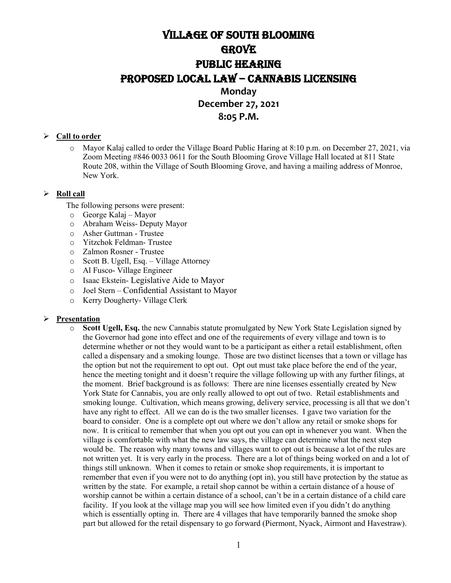# Village of South Blooming **GROVE** PUBLIC HEARING PROPOSED LOCAL LAW – CANNABIS LICENSING **Monday**

# **December 27, 2021 8:05 P.M.**

## **Call to order**

o Mayor Kalaj called to order the Village Board Public Haring at 8:10 p.m. on December 27, 2021, via Zoom Meeting #846 0033 0611 for the South Blooming Grove Village Hall located at 811 State Route 208, within the Village of South Blooming Grove, and having a mailing address of Monroe, New York.

## **Roll call**

The following persons were present:

- o George Kalaj Mayor
- Abraham Weiss- Deputy Mayor
- o Asher Guttman Trustee
- o Yitzchok Feldman- Trustee
- Zalmon Rosner Trustee
- o Scott B. Ugell, Esq. Village Attorney
- o Al Fusco- Village Engineer
- o Isaac Ekstein- Legislative Aide to Mayor
- o Joel Stern Confidential Assistant to Mayor
- Kerry Dougherty- Village Clerk

#### **Presentation**

Scott Ugell, Esq. the new Cannabis statute promulgated by New York State Legislation signed by the Governor had gone into effect and one of the requirements of every village and town is to determine whether or not they would want to be a participant as either a retail establishment, often called a dispensary and a smoking lounge. Those are two distinct licenses that a town or village has the option but not the requirement to opt out. Opt out must take place before the end of the year, hence the meeting tonight and it doesn't require the village following up with any further filings, at the moment. Brief background is as follows: There are nine licenses essentially created by New York State for Cannabis, you are only really allowed to opt out of two. Retail establishments and smoking lounge. Cultivation, which means growing, delivery service, processing is all that we don't have any right to effect. All we can do is the two smaller licenses. I gave two variation for the board to consider. One is a complete opt out where we don't allow any retail or smoke shops for now. It is critical to remember that when you opt out you can opt in whenever you want. When the village is comfortable with what the new law says, the village can determine what the next step would be. The reason why many towns and villages want to opt out is because a lot of the rules are not written yet. It is very early in the process. There are a lot of things being worked on and a lot of things still unknown. When it comes to retain or smoke shop requirements, it is important to remember that even if you were not to do anything (opt in), you still have protection by the statue as written by the state. For example, a retail shop cannot be within a certain distance of a house of worship cannot be within a certain distance of a school, can't be in a certain distance of a child care facility. If you look at the village map you will see how limited even if you didn't do anything which is essentially opting in. There are 4 villages that have temporarily banned the smoke shop part but allowed for the retail dispensary to go forward (Piermont, Nyack, Airmont and Havestraw).